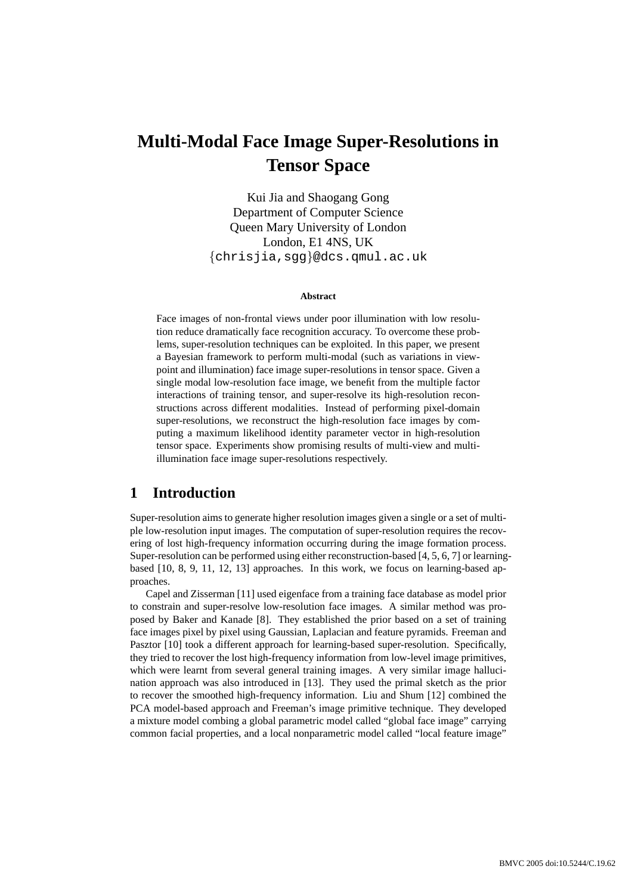# **Multi-Modal Face Image Super-Resolutions in Tensor Space**

Kui Jia and Shaogang Gong Department of Computer Science Queen Mary University of London London, E1 4NS, UK {chrisjia,sgg}@dcs.qmul.ac.uk

#### **Abstract**

Face images of non-frontal views under poor illumination with low resolution reduce dramatically face recognition accuracy. To overcome these problems, super-resolution techniques can be exploited. In this paper, we present a Bayesian framework to perform multi-modal (such as variations in viewpoint and illumination) face image super-resolutions in tensor space. Given a single modal low-resolution face image, we benefit from the multiple factor interactions of training tensor, and super-resolve its high-resolution reconstructions across different modalities. Instead of performing pixel-domain super-resolutions, we reconstruct the high-resolution face images by computing a maximum likelihood identity parameter vector in high-resolution tensor space. Experiments show promising results of multi-view and multiillumination face image super-resolutions respectively.

### **1 Introduction**

Super-resolution aims to generate higher resolution images given a single or a set of multiple low-resolution input images. The computation of super-resolution requires the recovering of lost high-frequency information occurring during the image formation process. Super-resolution can be performed using either reconstruction-based [4, 5, 6, 7] or learningbased [10, 8, 9, 11, 12, 13] approaches. In this work, we focus on learning-based approaches.

Capel and Zisserman [11] used eigenface from a training face database as model prior to constrain and super-resolve low-resolution face images. A similar method was proposed by Baker and Kanade [8]. They established the prior based on a set of training face images pixel by pixel using Gaussian, Laplacian and feature pyramids. Freeman and Pasztor [10] took a different approach for learning-based super-resolution. Specifically, they tried to recover the lost high-frequency information from low-level image primitives, which were learnt from several general training images. A very similar image hallucination approach was also introduced in [13]. They used the primal sketch as the prior to recover the smoothed high-frequency information. Liu and Shum [12] combined the PCA model-based approach and Freeman's image primitive technique. They developed a mixture model combing a global parametric model called "global face image" carrying common facial properties, and a local nonparametric model called "local feature image"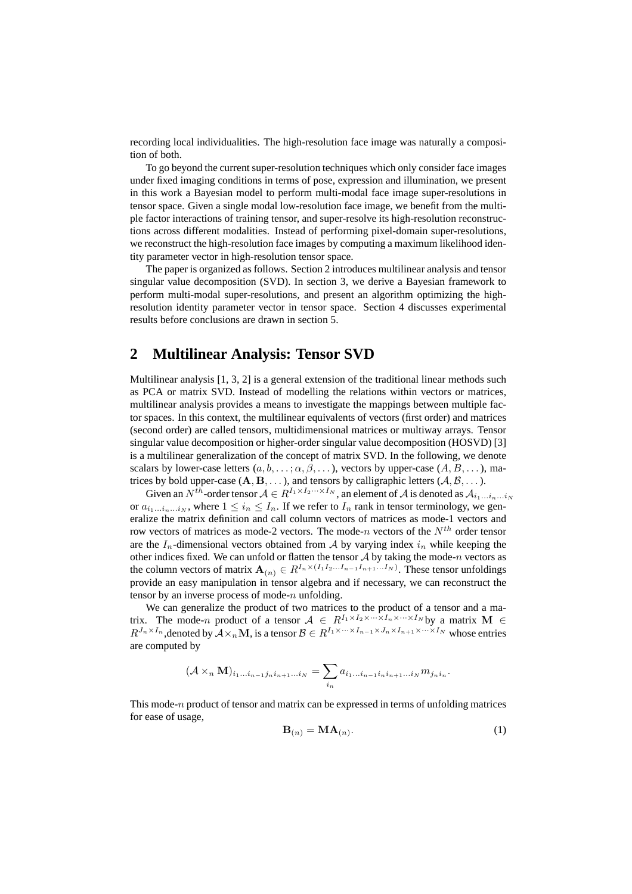recording local individualities. The high-resolution face image was naturally a composition of both.

To go beyond the current super-resolution techniques which only consider face images under fixed imaging conditions in terms of pose, expression and illumination, we present in this work a Bayesian model to perform multi-modal face image super-resolutions in tensor space. Given a single modal low-resolution face image, we benefit from the multiple factor interactions of training tensor, and super-resolve its high-resolution reconstructions across different modalities. Instead of performing pixel-domain super-resolutions, we reconstruct the high-resolution face images by computing a maximum likelihood identity parameter vector in high-resolution tensor space.

The paper is organized as follows. Section 2 introduces multilinear analysis and tensor singular value decomposition (SVD). In section 3, we derive a Bayesian framework to perform multi-modal super-resolutions, and present an algorithm optimizing the highresolution identity parameter vector in tensor space. Section 4 discusses experimental results before conclusions are drawn in section 5.

### **2 Multilinear Analysis: Tensor SVD**

Multilinear analysis [1, 3, 2] is a general extension of the traditional linear methods such as PCA or matrix SVD. Instead of modelling the relations within vectors or matrices, multilinear analysis provides a means to investigate the mappings between multiple factor spaces. In this context, the multilinear equivalents of vectors (first order) and matrices (second order) are called tensors, multidimensional matrices or multiway arrays. Tensor singular value decomposition or higher-order singular value decomposition (HOSVD) [3] is a multilinear generalization of the concept of matrix SVD. In the following, we denote scalars by lower-case letters  $(a, b, \dots; \alpha, \beta, \dots)$ , vectors by upper-case  $(A, B, \dots)$ , matrices by bold upper-case  $(A, B, \ldots)$ , and tensors by calligraphic letters  $(A, B, \ldots)$ .

Given an  $N^{th}$ -order tensor  $A \in R^{I_1 \times I_2 \cdots \times I_N}$ , an element of A is denoted as  $A_{i_1...i_n...i_N}$ or  $a_{i_1...i_n...i_N}$ , where  $1 \leq i_n \leq I_n$ . If we refer to  $I_n$  rank in tensor terminology, we generalize the matrix definition and call column vectors of matrices as mode-1 vectors and row vectors of matrices as mode-2 vectors. The mode-n vectors of the  $N^{th}$  order tensor are the  $I_n$ -dimensional vectors obtained from A by varying index  $i_n$  while keeping the other indices fixed. We can unfold or flatten the tensor  $A$  by taking the mode-n vectors as the column vectors of matrix  $\mathbf{A}_{(n)} \in R^{I_n \times (I_1 I_2 \dots I_{n-1} I_{n+1} \dots I_N)}$ . These tensor unfoldings provide an easy manipulation in tensor algebra and if necessary, we can reconstruct the tensor by an inverse process of mode- $n$  unfolding.

We can generalize the product of two matrices to the product of a tensor and a matrix. The mode-n product of a tensor  $A \in R^{I_1 \times I_2 \times \cdots \times I_n \times \cdots \times I_N}$  by a matrix M  $\in$  $R^{J_n \times I_n}$ , denoted by  $\mathcal{A} \times_n \mathbf{M}$ , is a tensor  $\mathcal{B} \in R^{I_1 \times \cdots \times I_{n-1} \times J_n \times I_{n+1} \times \cdots \times I_N}$  whose entries are computed by

$$
(\mathcal{A} \times_n \mathbf{M})_{i_1...i_{n-1}j_n i_{n+1}...i_N} = \sum_{i_n} a_{i_1...i_{n-1}i_n i_{n+1}...i_N} m_{j_n i_n}.
$$

This mode- $n$  product of tensor and matrix can be expressed in terms of unfolding matrices for ease of usage,

$$
\mathbf{B}_{(n)} = \mathbf{M}\mathbf{A}_{(n)}.\tag{1}
$$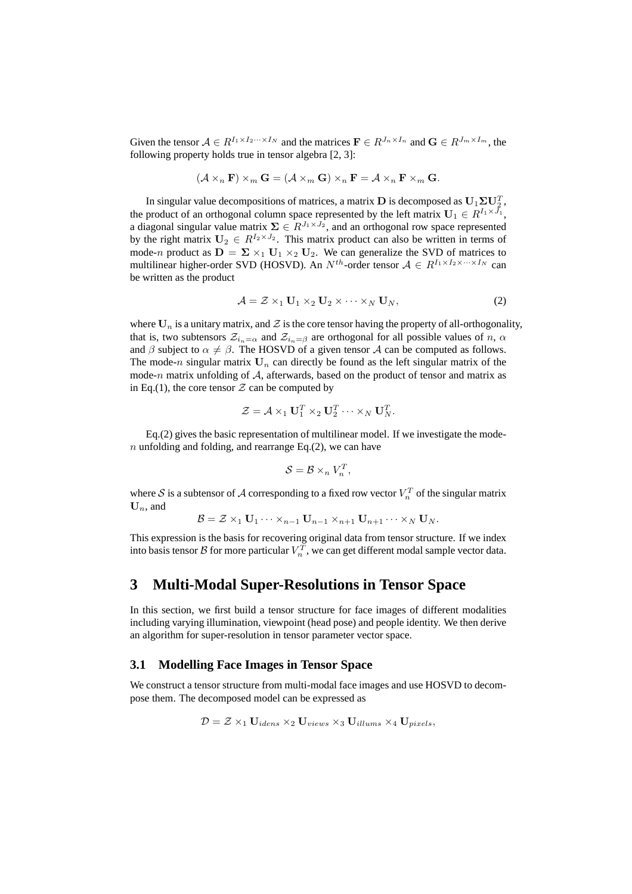Given the tensor  $A \in R^{I_1 \times I_2 \cdots \times I_N}$  and the matrices  $\mathbf{F} \in R^{J_n \times I_n}$  and  $\mathbf{G} \in R^{J_m \times I_m}$ , the following property holds true in tensor algebra [2, 3]:

$$
(\mathcal{A} \times_n \mathbf{F}) \times_m \mathbf{G} = (\mathcal{A} \times_m \mathbf{G}) \times_n \mathbf{F} = \mathcal{A} \times_n \mathbf{F} \times_m \mathbf{G}.
$$

In singular value decompositions of matrices, a matrix  ${\bf D}$  is decomposed as  ${\bf U}_1 \Sigma {\bf U}_2^T$ , the product of an orthogonal column space represented by the left matrix  $\mathbf{U}_1 \in R^{I_1 \times J_1}$ , a diagonal singular value matrix  $\Sigma \in R^{J_1 \times J_2}$ , and an orthogonal row space represented by the right matrix  $U_2 \in R^{I_2 \times J_2}$ . This matrix product can also be written in terms of mode-n product as  $D = \Sigma \times_1 U_1 \times_2 U_2$ . We can generalize the SVD of matrices to multilinear higher-order SVD (HOSVD). An  $N^{th}$ -order tensor  $A \in R^{I_1 \times I_2 \times \cdots \times I_N}$  can be written as the product

$$
\mathcal{A} = \mathcal{Z} \times_1 \mathbf{U}_1 \times_2 \mathbf{U}_2 \times \cdots \times_N \mathbf{U}_N, \tag{2}
$$

where  $U_n$  is a unitary matrix, and  $\mathcal Z$  is the core tensor having the property of all-orthogonality, that is, two subtensors  $\mathcal{Z}_{i_n=\alpha}$  and  $\mathcal{Z}_{i_n=\beta}$  are orthogonal for all possible values of n,  $\alpha$ and  $\beta$  subject to  $\alpha \neq \beta$ . The HOSVD of a given tensor A can be computed as follows. The mode-n singular matrix  $U_n$  can directly be found as the left singular matrix of the mode-n matrix unfolding of  $A$ , afterwards, based on the product of tensor and matrix as in Eq.(1), the core tensor  $Z$  can be computed by

$$
\mathcal{Z} = \mathcal{A} \times_1 \mathbf{U}_1^T \times_2 \mathbf{U}_2^T \cdots \times_N \mathbf{U}_N^T.
$$

Eq.(2) gives the basic representation of multilinear model. If we investigate the mode $n$  unfolding and folding, and rearrange Eq.(2), we can have

$$
\mathcal{S} = \mathcal{B} \times_n V_n^T,
$$

where  $\mathcal S$  is a subtensor of  $\mathcal A$  corresponding to a fixed row vector  $V_n^T$  of the singular matrix  $\mathbf{U}_n$ , and

$$
\mathcal{B} = \mathcal{Z} \times_1 \mathbf{U}_1 \cdots \times_{n-1} \mathbf{U}_{n-1} \times_{n+1} \mathbf{U}_{n+1} \cdots \times_N \mathbf{U}_N.
$$

This expression is the basis for recovering original data from tensor structure. If we index into basis tensor  $\mathcal B$  for more particular  $V_n^T$ , we can get different modal sample vector data.

### **3 Multi-Modal Super-Resolutions in Tensor Space**

In this section, we first build a tensor structure for face images of different modalities including varying illumination, viewpoint (head pose) and people identity. We then derive an algorithm for super-resolution in tensor parameter vector space.

#### **3.1 Modelling Face Images in Tensor Space**

We construct a tensor structure from multi-modal face images and use HOSVD to decompose them. The decomposed model can be expressed as

$$
\mathcal{D} = \mathcal{Z} \times_1 \mathbf{U}_{idens} \times_2 \mathbf{U}_{views} \times_3 \mathbf{U}_{illums} \times_4 \mathbf{U}_{pixels},
$$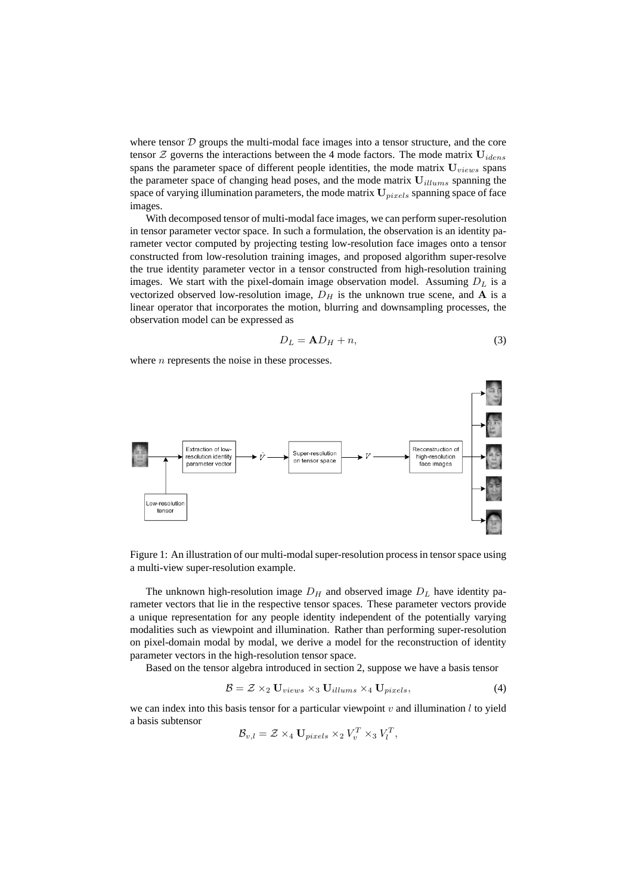where tensor  $D$  groups the multi-modal face images into a tensor structure, and the core tensor  $\mathcal Z$  governs the interactions between the 4 mode factors. The mode matrix  $U_{idens}$ spans the parameter space of different people identities, the mode matrix  $U_{views}$  spans the parameter space of changing head poses, and the mode matrix  $U_{illums}$  spanning the space of varying illumination parameters, the mode matrix  $U_{pixels}$  spanning space of face images.

With decomposed tensor of multi-modal face images, we can perform super-resolution in tensor parameter vector space. In such a formulation, the observation is an identity parameter vector computed by projecting testing low-resolution face images onto a tensor constructed from low-resolution training images, and proposed algorithm super-resolve the true identity parameter vector in a tensor constructed from high-resolution training images. We start with the pixel-domain image observation model. Assuming  $D<sub>L</sub>$  is a vectorized observed low-resolution image,  $D<sub>H</sub>$  is the unknown true scene, and A is a linear operator that incorporates the motion, blurring and downsampling processes, the observation model can be expressed as

$$
D_L = \mathbf{A} D_H + n,\tag{3}
$$

where  $n$  represents the noise in these processes.



Figure 1: An illustration of our multi-modal super-resolution process in tensor space using a multi-view super-resolution example.

The unknown high-resolution image  $D_H$  and observed image  $D_L$  have identity parameter vectors that lie in the respective tensor spaces. These parameter vectors provide a unique representation for any people identity independent of the potentially varying modalities such as viewpoint and illumination. Rather than performing super-resolution on pixel-domain modal by modal, we derive a model for the reconstruction of identity parameter vectors in the high-resolution tensor space.

Based on the tensor algebra introduced in section 2, suppose we have a basis tensor

$$
\mathcal{B} = \mathcal{Z} \times_2 \mathbf{U}_{views} \times_3 \mathbf{U}_{illums} \times_4 \mathbf{U}_{pixels},\tag{4}
$$

we can index into this basis tensor for a particular viewpoint v and illumination  $l$  to yield a basis subtensor

$$
\mathcal{B}_{v,l} = \mathcal{Z} \times_4 \mathbf{U}_{pixels} \times_2 V_v^T \times_3 V_l^T,
$$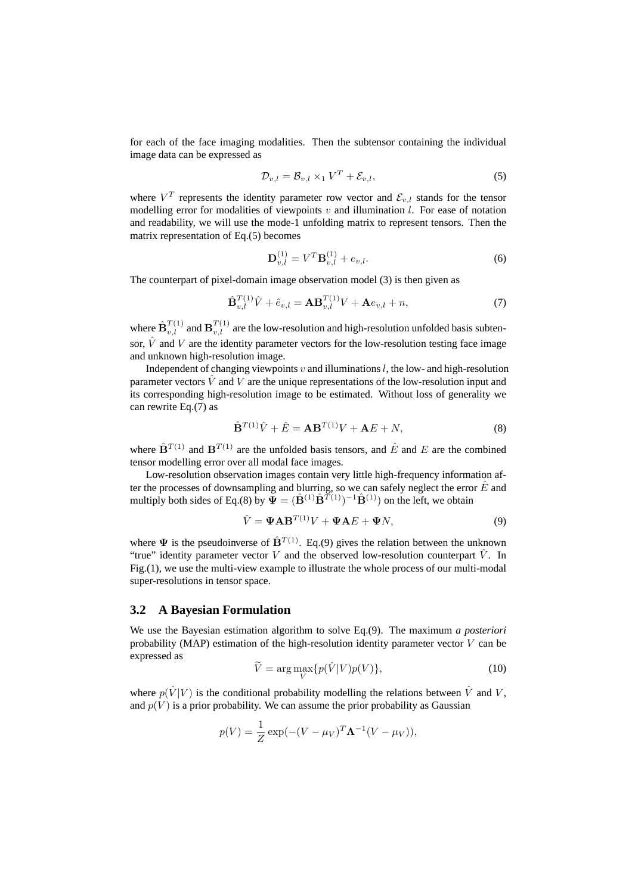for each of the face imaging modalities. Then the subtensor containing the individual image data can be expressed as

$$
\mathcal{D}_{v,l} = \mathcal{B}_{v,l} \times_1 V^T + \mathcal{E}_{v,l},
$$
\n<sup>(5)</sup>

where  $V^T$  represents the identity parameter row vector and  $\mathcal{E}_{v,l}$  stands for the tensor modelling error for modalities of viewpoints  $v$  and illumination  $l$ . For ease of notation and readability, we will use the mode-1 unfolding matrix to represent tensors. Then the matrix representation of Eq.(5) becomes

$$
\mathbf{D}_{v,l}^{(1)} = V^T \mathbf{B}_{v,l}^{(1)} + e_{v,l}.
$$
 (6)

The counterpart of pixel-domain image observation model (3) is then given as

$$
\hat{\mathbf{B}}_{v,l}^{T(1)}\hat{V} + \hat{e}_{v,l} = \mathbf{A}\mathbf{B}_{v,l}^{T(1)}V + \mathbf{A}e_{v,l} + n,\tag{7}
$$

where  $\hat{\mathbf{B}}_{v,l}^{T(1)}$  and  $\mathbf{B}_{v,l}^{T(1)}$  are the low-resolution and high-resolution unfolded basis subtensor,  $\hat{V}$  and V are the identity parameter vectors for the low-resolution testing face image and unknown high-resolution image.

Independent of changing viewpoints  $v$  and illuminations  $l$ , the low- and high-resolution parameter vectors  $\hat{V}$  and  $V$  are the unique representations of the low-resolution input and its corresponding high-resolution image to be estimated. Without loss of generality we can rewrite Eq.(7) as

$$
\hat{\mathbf{B}}^{T(1)}\hat{V} + \hat{E} = \mathbf{A}\mathbf{B}^{T(1)}V + \mathbf{A}E + N,
$$
\n(8)

where  $\hat{\mathbf{B}}^{T(1)}$  and  $\mathbf{B}^{T(1)}$  are the unfolded basis tensors, and  $\hat{E}$  and E are the combined tensor modelling error over all modal face images.

Low-resolution observation images contain very little high-frequency information after the processes of downsampling and blurring, so we can safely neglect the error  $\hat{E}$  and multiply both sides of Eq.(8) by  $\overline{\mathbf{\Psi}} = (\hat{\mathbf{B}}^{(1)} \hat{\mathbf{B}}^{T(1)})^{-1} \hat{\mathbf{B}}^{(1)}$  on the left, we obtain

$$
\hat{V} = \mathbf{\Psi} \mathbf{A} \mathbf{B}^{T(1)} V + \mathbf{\Psi} \mathbf{A} E + \mathbf{\Psi} N,
$$
\n(9)

where  $\Psi$  is the pseudoinverse of  $\hat{\mathbf{B}}^{T(1)}$ . Eq.(9) gives the relation between the unknown "true" identity parameter vector V and the observed low-resolution counterpart  $\hat{V}$ . In Fig.(1), we use the multi-view example to illustrate the whole process of our multi-modal super-resolutions in tensor space.

#### **3.2 A Bayesian Formulation**

We use the Bayesian estimation algorithm to solve Eq.(9). The maximum *a posteriori* probability (MAP) estimation of the high-resolution identity parameter vector  $V$  can be expressed as

$$
\widetilde{V} = \arg\max_{V} \{ p(\hat{V}|V)p(V) \},\tag{10}
$$

where  $p(\hat{V}|V)$  is the conditional probability modelling the relations between  $\hat{V}$  and V, and  $p(V)$  is a prior probability. We can assume the prior probability as Gaussian

$$
p(V) = \frac{1}{Z} \exp(-(V - \mu_V)^T \mathbf{\Lambda}^{-1} (V - \mu_V)),
$$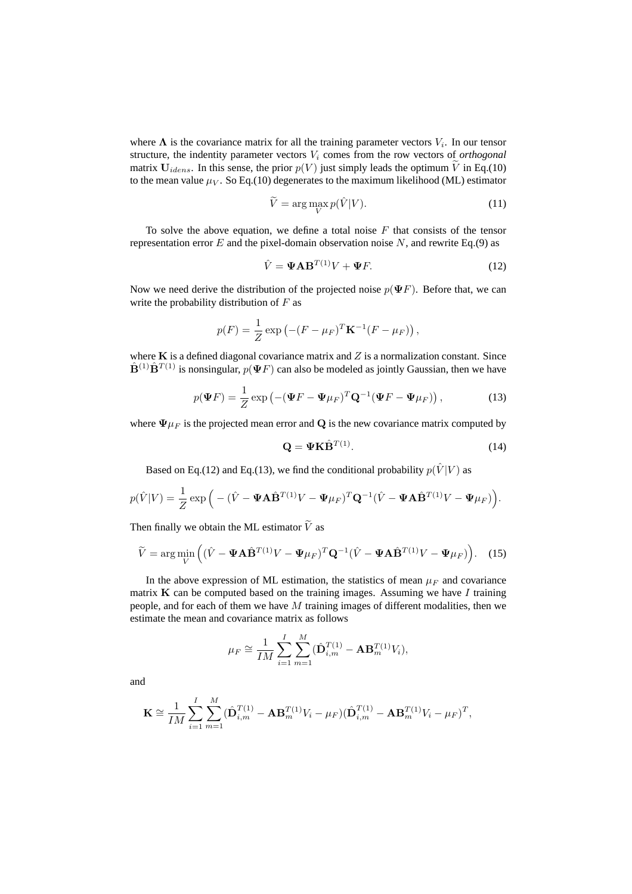where  $\Lambda$  is the covariance matrix for all the training parameter vectors  $V_i$ . In our tensor structure, the indentity parameter vectors V<sup>i</sup> comes from the row vectors of *orthogonal* matrix  $U_{idens}$ . In this sense, the prior  $p(V)$  just simply leads the optimum  $\widetilde{V}$  in Eq.(10) to the mean value  $\mu_V$ . So Eq.(10) degenerates to the maximum likelihood (ML) estimator

$$
\widetilde{V} = \arg\max_{V} p(\hat{V}|V). \tag{11}
$$

To solve the above equation, we define a total noise  $F$  that consists of the tensor representation error  $E$  and the pixel-domain observation noise  $N$ , and rewrite Eq.(9) as

$$
\hat{V} = \mathbf{\Psi} \mathbf{A} \mathbf{B}^{T(1)} V + \mathbf{\Psi} F. \tag{12}
$$

Now we need derive the distribution of the projected noise  $p(\Psi F)$ . Before that, we can write the probability distribution of  $F$  as

$$
p(F) = \frac{1}{Z} \exp \left( - (F - \mu_F)^T \mathbf{K}^{-1} (F - \mu_F) \right),
$$

where  $K$  is a defined diagonal covariance matrix and  $Z$  is a normalization constant. Since  $\hat{\mathbf{B}}^{(1)}\hat{\mathbf{B}}^{T(1)}$  is nonsingular,  $p(\Psi F)$  can also be modeled as jointly Gaussian, then we have

$$
p(\mathbf{\Psi}F) = \frac{1}{Z} \exp \left( -(\mathbf{\Psi}F - \mathbf{\Psi}\mu_F)^T \mathbf{Q}^{-1} (\mathbf{\Psi}F - \mathbf{\Psi}\mu_F) \right),\tag{13}
$$

where  $\Psi \mu_F$  is the projected mean error and Q is the new covariance matrix computed by

$$
\mathbf{Q} = \mathbf{\Psi} \mathbf{K} \hat{\mathbf{B}}^{T(1)}.
$$
 (14)

Based on Eq.(12) and Eq.(13), we find the conditional probability  $p(\hat{V}|V)$  as

$$
p(\hat{V}|V) = \frac{1}{Z} \exp\Big(-(\hat{V} - \Psi \mathbf{A} \hat{\mathbf{B}}^{T(1)}V - \Psi \mu_F)^T \mathbf{Q}^{-1} (\hat{V} - \Psi \mathbf{A} \hat{\mathbf{B}}^{T(1)}V - \Psi \mu_F)\Big).
$$

Then finally we obtain the ML estimator  $\widetilde{V}$  as

$$
\widetilde{V} = \arg\min_{V} \left( (\hat{V} - \mathbf{\Psi} \mathbf{A} \hat{\mathbf{B}}^{T(1)} V - \mathbf{\Psi} \mu_F)^T \mathbf{Q}^{-1} (\hat{V} - \mathbf{\Psi} \mathbf{A} \hat{\mathbf{B}}^{T(1)} V - \mathbf{\Psi} \mu_F) \right).
$$
 (15)

In the above expression of ML estimation, the statistics of mean  $\mu_F$  and covariance matrix  $\bf{K}$  can be computed based on the training images. Assuming we have I training people, and for each of them we have  $M$  training images of different modalities, then we estimate the mean and covariance matrix as follows

$$
\mu_F \cong \frac{1}{IM} \sum_{i=1}^{I} \sum_{m=1}^{M} (\hat{\mathbf{D}}_{i,m}^{T(1)} - \mathbf{A} \mathbf{B}_m^{T(1)} V_i),
$$

and

$$
\mathbf{K} \cong \frac{1}{IM} \sum_{i=1}^{I} \sum_{m=1}^{M} (\hat{\mathbf{D}}_{i,m}^{T(1)} - \mathbf{A} \mathbf{B}_m^{T(1)} V_i - \mu_F) (\hat{\mathbf{D}}_{i,m}^{T(1)} - \mathbf{A} \mathbf{B}_m^{T(1)} V_i - \mu_F)^T,
$$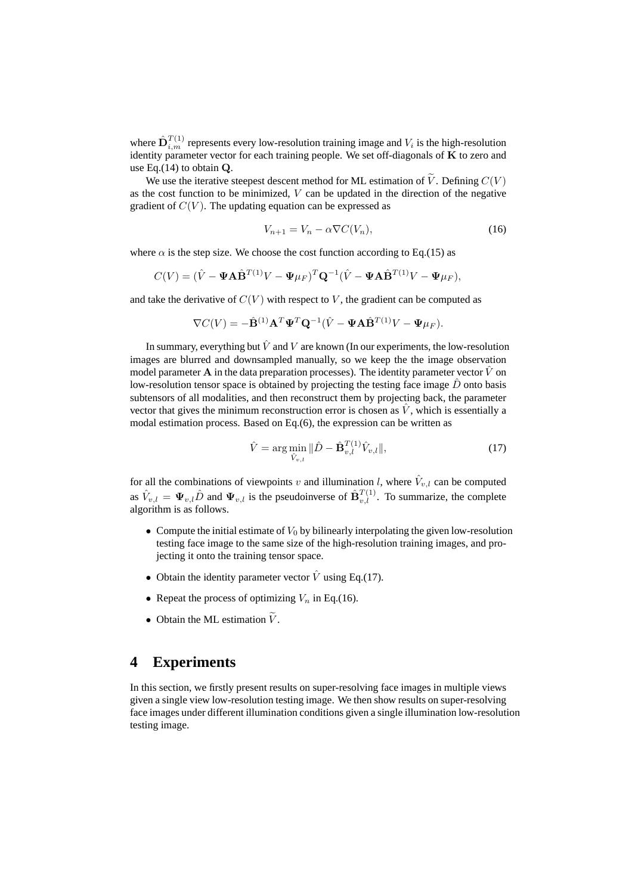where  $\hat{\mathbf{D}}_{i,m}^{T(1)}$  represents every low-resolution training image and  $V_i$  is the high-resolution identity parameter vector for each training people. We set off-diagonals of  $K$  to zero and use Eq. $(14)$  to obtain  $Q$ .

We use the iterative steepest descent method for ML estimation of  $\tilde{V}$ . Defining  $C(V)$ as the cost function to be minimized,  $V$  can be updated in the direction of the negative gradient of  $C(V)$ . The updating equation can be expressed as

$$
V_{n+1} = V_n - \alpha \nabla C(V_n),\tag{16}
$$

where  $\alpha$  is the step size. We choose the cost function according to Eq.(15) as

$$
C(V) = (\hat{V} - \Psi \mathbf{A} \hat{\mathbf{B}}^{T(1)} V - \Psi \mu_F)^T \mathbf{Q}^{-1} (\hat{V} - \Psi \mathbf{A} \hat{\mathbf{B}}^{T(1)} V - \Psi \mu_F),
$$

and take the derivative of  $C(V)$  with respect to V, the gradient can be computed as

$$
\nabla C(V) = -\hat{\mathbf{B}}^{(1)} \mathbf{A}^T \mathbf{\Psi}^T \mathbf{Q}^{-1} (\hat{V} - \mathbf{\Psi} \mathbf{A} \hat{\mathbf{B}}^{T(1)} V - \mathbf{\Psi} \mu_F).
$$

In summary, everything but  $\hat{V}$  and  $V$  are known (In our experiments, the low-resolution images are blurred and downsampled manually, so we keep the the image observation model parameter A in the data preparation processes). The identity parameter vector  $\vec{V}$  on low-resolution tensor space is obtained by projecting the testing face image  $\hat{D}$  onto basis subtensors of all modalities, and then reconstruct them by projecting back, the parameter vector that gives the minimum reconstruction error is chosen as  $\hat{V}$ , which is essentially a modal estimation process. Based on Eq.(6), the expression can be written as

$$
\hat{V} = \arg\min_{\hat{V}_{v,l}} \|\hat{D} - \hat{\mathbf{B}}_{v,l}^{T(1)} \hat{V}_{v,l}\|,
$$
\n(17)

for all the combinations of viewpoints v and illumination l, where  $\hat{V}_{v,l}$  can be computed as  $\hat{V}_{v,l} = \Psi_{v,l} \hat{D}$  and  $\Psi_{v,l}$  is the pseudoinverse of  $\hat{\mathbf{B}}_{v,l}^{T(1)}$ . To summarize, the complete algorithm is as follows.

- Compute the initial estimate of  $V_0$  by bilinearly interpolating the given low-resolution testing face image to the same size of the high-resolution training images, and projecting it onto the training tensor space.
- Obtain the identity parameter vector  $\hat{V}$  using Eq.(17).
- Repeat the process of optimizing  $V_n$  in Eq.(16).
- Obtain the ML estimation  $\widetilde{V}$ .

### **4 Experiments**

In this section, we firstly present results on super-resolving face images in multiple views given a single view low-resolution testing image. We then show results on super-resolving face images under different illumination conditions given a single illumination low-resolution testing image.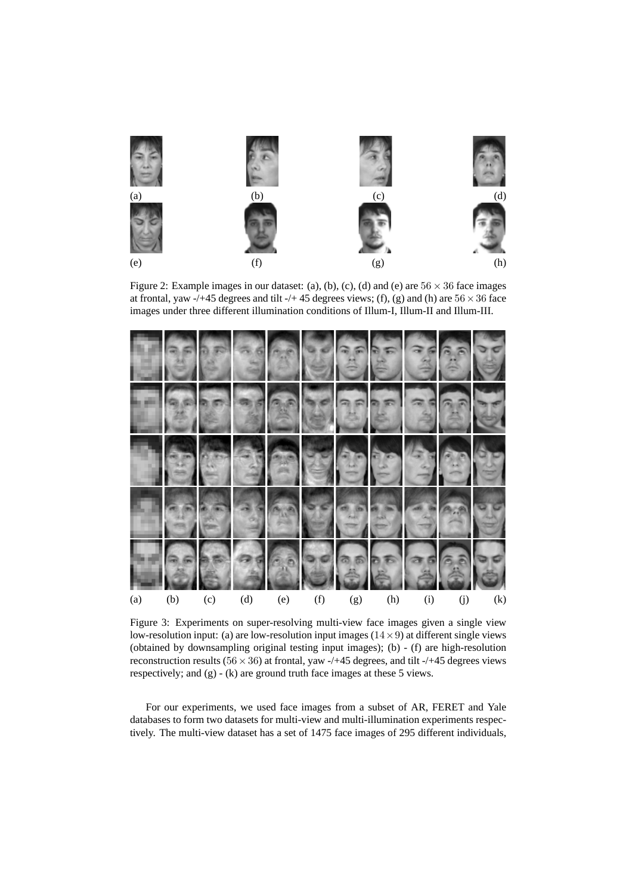

Figure 2: Example images in our dataset: (a), (b), (c), (d) and (e) are  $56 \times 36$  face images at frontal, yaw -/+45 degrees and tilt -/+45 degrees views; (f), (g) and (h) are  $56 \times 36$  face images under three different illumination conditions of Illum-I, Illum-II and Illum-III.



Figure 3: Experiments on super-resolving multi-view face images given a single view low-resolution input: (a) are low-resolution input images  $(14 \times 9)$  at different single views (obtained by downsampling original testing input images); (b) - (f) are high-resolution reconstruction results ( $56 \times 36$ ) at frontal, yaw -/+45 degrees, and tilt -/+45 degrees views respectively; and (g) - (k) are ground truth face images at these 5 views.

For our experiments, we used face images from a subset of AR, FERET and Yale databases to form two datasets for multi-view and multi-illumination experiments respectively. The multi-view dataset has a set of 1475 face images of 295 different individuals,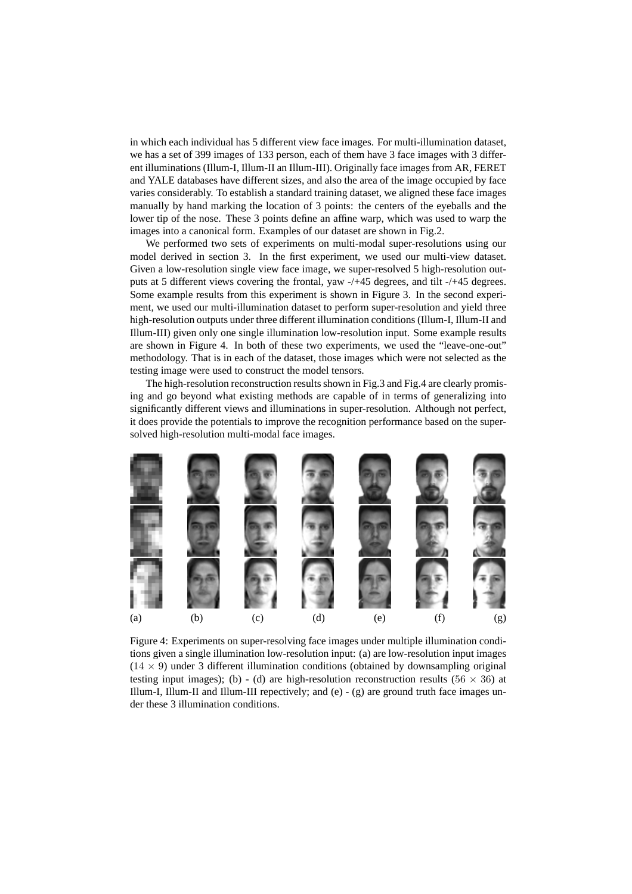in which each individual has 5 different view face images. For multi-illumination dataset, we has a set of 399 images of 133 person, each of them have 3 face images with 3 different illuminations (Illum-I, Illum-II an Illum-III). Originally face images from AR, FERET and YALE databases have different sizes, and also the area of the image occupied by face varies considerably. To establish a standard training dataset, we aligned these face images manually by hand marking the location of 3 points: the centers of the eyeballs and the lower tip of the nose. These 3 points define an affine warp, which was used to warp the images into a canonical form. Examples of our dataset are shown in Fig.2.

We performed two sets of experiments on multi-modal super-resolutions using our model derived in section 3. In the first experiment, we used our multi-view dataset. Given a low-resolution single view face image, we super-resolved 5 high-resolution outputs at 5 different views covering the frontal, yaw -/+45 degrees, and tilt -/+45 degrees. Some example results from this experiment is shown in Figure 3. In the second experiment, we used our multi-illumination dataset to perform super-resolution and yield three high-resolution outputs under three different illumination conditions (Illum-I, Illum-II and Illum-III) given only one single illumination low-resolution input. Some example results are shown in Figure 4. In both of these two experiments, we used the "leave-one-out" methodology. That is in each of the dataset, those images which were not selected as the testing image were used to construct the model tensors.

The high-resolution reconstruction results shown in Fig.3 and Fig.4 are clearly promising and go beyond what existing methods are capable of in terms of generalizing into significantly different views and illuminations in super-resolution. Although not perfect, it does provide the potentials to improve the recognition performance based on the supersolved high-resolution multi-modal face images.



Figure 4: Experiments on super-resolving face images under multiple illumination conditions given a single illumination low-resolution input: (a) are low-resolution input images  $(14 \times 9)$  under 3 different illumination conditions (obtained by downsampling original testing input images); (b) - (d) are high-resolution reconstruction results (56  $\times$  36) at Illum-I, Illum-II and Illum-III repectively; and  $(e)$  -  $(g)$  are ground truth face images under these 3 illumination conditions.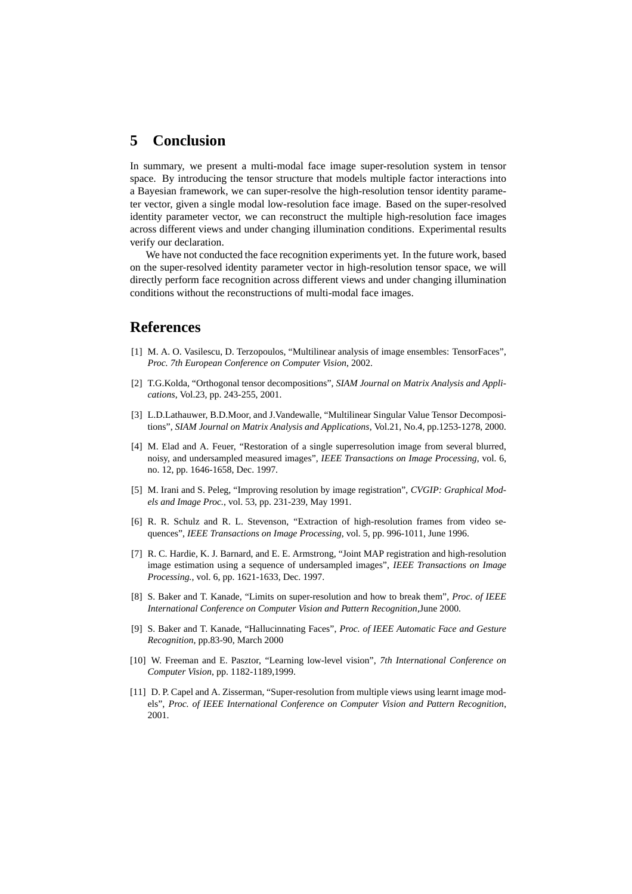# **5 Conclusion**

In summary, we present a multi-modal face image super-resolution system in tensor space. By introducing the tensor structure that models multiple factor interactions into a Bayesian framework, we can super-resolve the high-resolution tensor identity parameter vector, given a single modal low-resolution face image. Based on the super-resolved identity parameter vector, we can reconstruct the multiple high-resolution face images across different views and under changing illumination conditions. Experimental results verify our declaration.

We have not conducted the face recognition experiments yet. In the future work, based on the super-resolved identity parameter vector in high-resolution tensor space, we will directly perform face recognition across different views and under changing illumination conditions without the reconstructions of multi-modal face images.

## **References**

- [1] M. A. O. Vasilescu, D. Terzopoulos, "Multilinear analysis of image ensembles: TensorFaces", *Proc. 7th European Conference on Computer Vision*, 2002.
- [2] T.G.Kolda, "Orthogonal tensor decompositions", *SIAM Journal on Matrix Analysis and Applications*, Vol.23, pp. 243-255, 2001.
- [3] L.D.Lathauwer, B.D.Moor, and J.Vandewalle, "Multilinear Singular Value Tensor Decompositions", *SIAM Journal on Matrix Analysis and Applications*, Vol.21, No.4, pp.1253-1278, 2000.
- [4] M. Elad and A. Feuer, "Restoration of a single superresolution image from several blurred, noisy, and undersampled measured images", *IEEE Transactions on Image Processing*, vol. 6, no. 12, pp. 1646-1658, Dec. 1997.
- [5] M. Irani and S. Peleg, "Improving resolution by image registration", *CVGIP: Graphical Models and Image Proc.*, vol. 53, pp. 231-239, May 1991.
- [6] R. R. Schulz and R. L. Stevenson, "Extraction of high-resolution frames from video sequences", *IEEE Transactions on Image Processing*, vol. 5, pp. 996-1011, June 1996.
- [7] R. C. Hardie, K. J. Barnard, and E. E. Armstrong, "Joint MAP registration and high-resolution image estimation using a sequence of undersampled images", *IEEE Transactions on Image Processing.*, vol. 6, pp. 1621-1633, Dec. 1997.
- [8] S. Baker and T. Kanade, "Limits on super-resolution and how to break them", *Proc. of IEEE International Conference on Computer Vision and Pattern Recognition*,June 2000.
- [9] S. Baker and T. Kanade, "Hallucinnating Faces", *Proc. of IEEE Automatic Face and Gesture Recognition*, pp.83-90, March 2000
- [10] W. Freeman and E. Pasztor, "Learning low-level vision", *7th International Conference on Computer Vision*, pp. 1182-1189,1999.
- [11] D. P. Capel and A. Zisserman, "Super-resolution from multiple views using learnt image models", *Proc. of IEEE International Conference on Computer Vision and Pattern Recognition*, 2001.